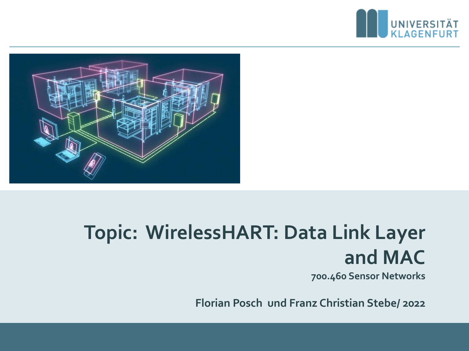



# **Topic: WirelessHART: Data Link Layer and MAC**

**700.460 Sensor Networks**

**Florian Posch und Franz Christian Stebe/ 2022**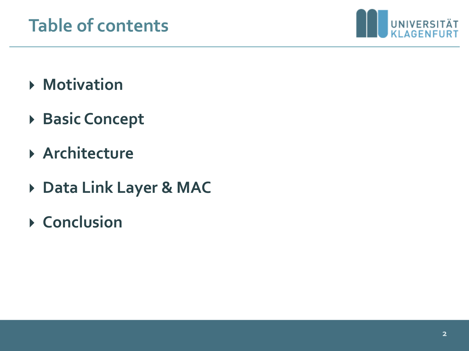

- **Motivation**
- **Basic Concept**
- **Architecture**
- **Data Link Layer & MAC**
- **Conclusion**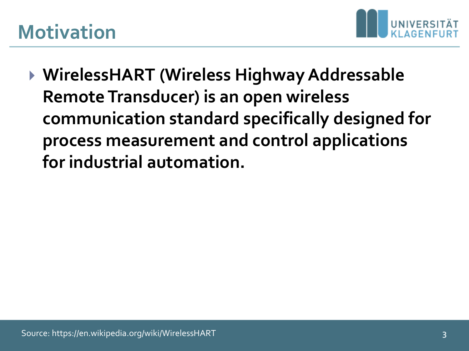### **Motivation**



 **WirelessHART (Wireless Highway Addressable Remote Transducer) is an open wireless communication standard specifically designed for process measurement and control applications for industrial automation.**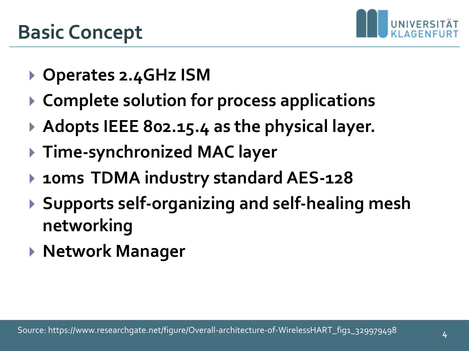

- **Operates 2.4GHz ISM**
- **Complete solution for process applications**
- ▶ Adopts IEEE 802.15.4 as the physical layer.
- **Time-synchronized MAC layer**
- **10ms TDMA industry standard AES-128**
- **Supports self-organizing and self-healing mesh networking**
- **Network Manager**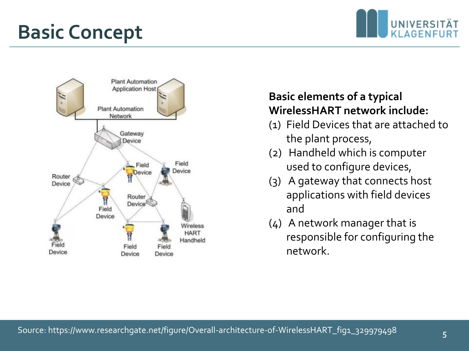### **Basic Concept**





#### **Basic elements of a typical WirelessHART network include:**

- (1) Field Devices that are attached to the plant process,
- (2) Handheld which is computer used to configure devices,
- (3) A gateway that connects host applications with field devices and
- (4) A network manager that is responsible for configuring the network.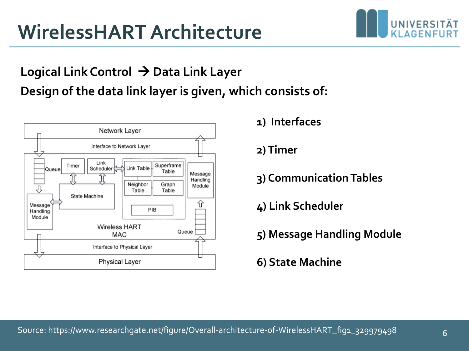### **WirelessHART Architecture**

#### **Logical Link Control** → **Data Link Layer Design of the data link layer is given, which consists of:**



**1) Interfaces** 

**2) Timer** 

**3) Communication Tables**

**4) Link Scheduler** 

**5) Message Handling Module** 

**6) State Machine**

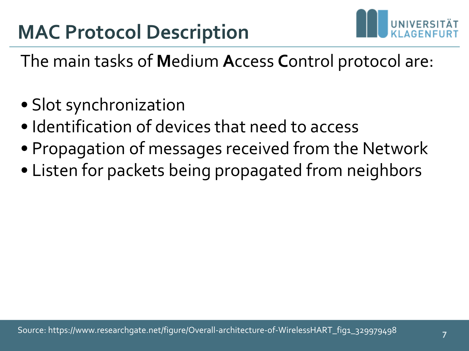

The main tasks of **M**edium **A**ccess **C**ontrol protocol are:

- Slot synchronization
- Identification of devices that need to access
- Propagation of messages received from the Network
- Listen for packets being propagated from neighbors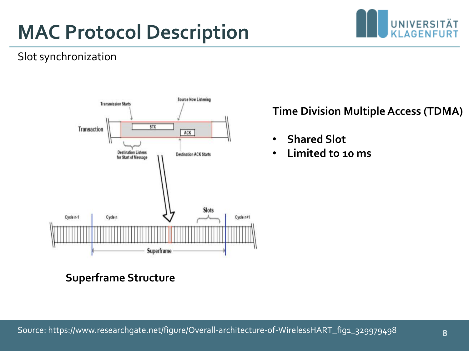# **MAC Protocol Description**



#### Slot synchronization



#### **Time Division Multiple Access (TDMA)**

- **Shared Slot**
- **Limited to 10 ms**

**Superframe Structure**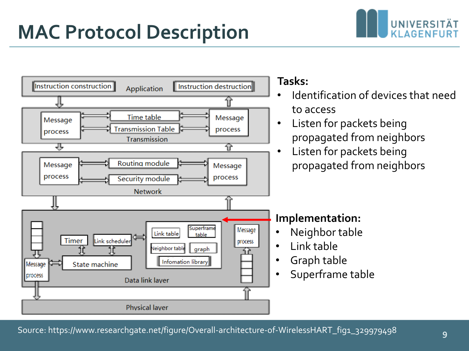### **MAC Protocol Description**



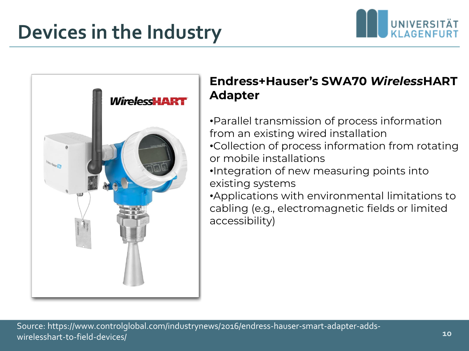### **Devices in the Industry**



#### **Endress+Hauser's SWA70** *Wireless***HART Adapter**

- •Parallel transmission of process information from an existing wired installation •Collection of process information from rotating or mobile installations
- •Integration of new measuring points into existing systems
- •Applications with environmental limitations to cabling (e.g., electromagnetic fields or limited accessibility)

UNIVERSITÄT **KLAGENFUF**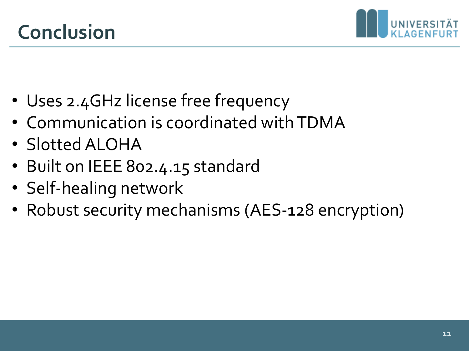

- Uses 2.4GHz license free frequency
- Communication is coordinated with TDMA
- Slotted ALOHA
- Built on IEEE 802.4.15 standard
- Self-healing network
- Robust security mechanisms (AES-128 encryption)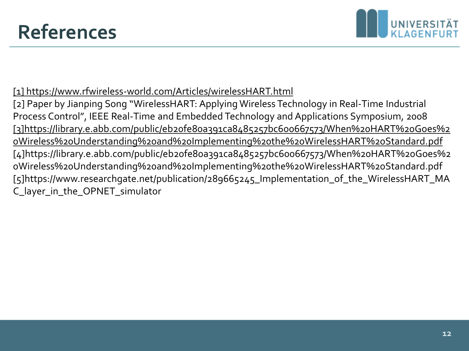

#### [\[1\] https://www.rfwireless-world.com/Articles/wirelessHART.html](https://www.rfwireless-world.com/Articles/wirelessHART.html)

[2] Paper by Jianping Song "WirelessHART: Applying Wireless Technology in Real-Time Industrial Process Control", IEEE Real-Time and Embedded Technology and Applications Symposium, 2008 [\[3\]https://library.e.abb.com/public/eb20fe80a391ca8485257bc600667573/When%20HART%20Goes%2](https://library.e.abb.com/public/eb20fe80a391ca8485257bc600667573/When HART Goes Wireless Understanding and Implementing the WirelessHART Standard.pdf) 0Wireless%20Understanding%20and%20Implementing%20the%20WirelessHART%20Standard.pdf [4]https://library.e.abb.com/public/eb20fe80a391ca8485257bc600667573/When%20HART%20Goes%2 0Wireless%20Understanding%20and%20Implementing%20the%20WirelessHART%20Standard.pdf [5]https://www.researchgate.net/publication/289665245\_Implementation\_of\_the\_WirelessHART\_MA C\_layer\_in\_the\_OPNET\_simulator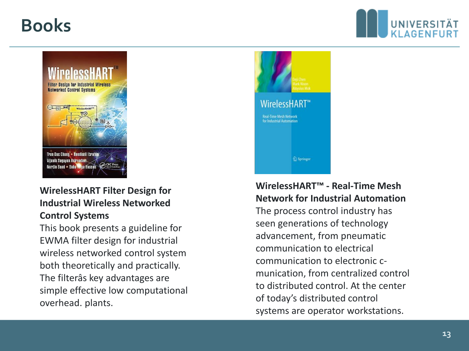### **Books**





#### **WirelessHART Filter Design for Industrial Wireless Networked Control Systems**

This book presents a guideline for EWMA filter design for industrial wireless networked control system both theoretically and practically. The filterâs key advantages are simple effective low computational overhead. plants.



#### **WirelessHART™ - Real-Time Mesh Network for Industrial Automation**

The process control industry has seen generations of technology advancement, from pneumatic communication to electrical communication to electronic cmunication, from centralized control to distributed control. At the center of today's distributed control systems are operator workstations.